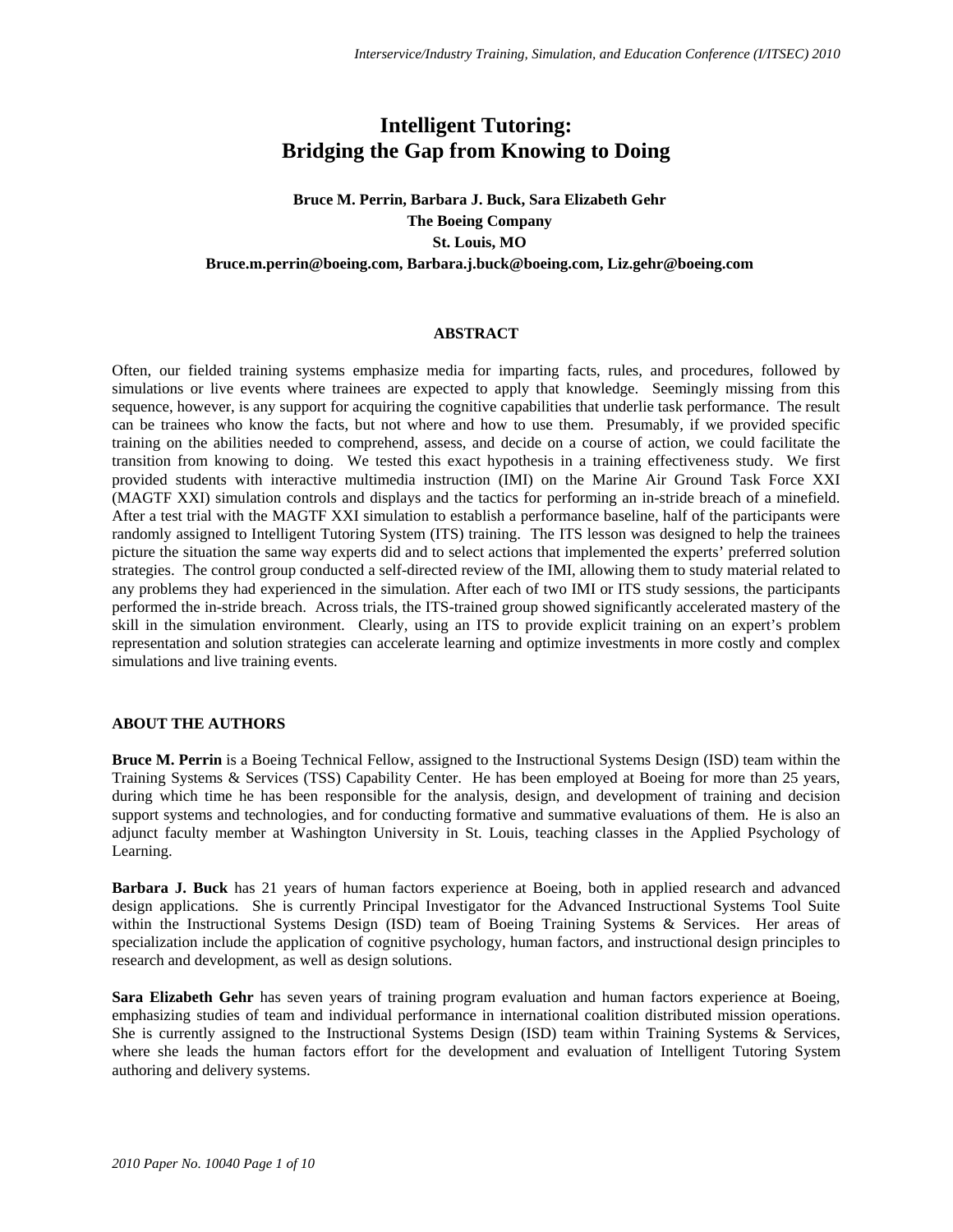# **Intelligent Tutoring: Bridging the Gap from Knowing to Doing**

# **Bruce M. Perrin, Barbara J. Buck, Sara Elizabeth Gehr The Boeing Company St. Louis, MO Bruce.m.perrin@boeing.com, Barbara.j.buck@boeing.com, Liz.gehr@boeing.com**

## **ABSTRACT**

Often, our fielded training systems emphasize media for imparting facts, rules, and procedures, followed by simulations or live events where trainees are expected to apply that knowledge. Seemingly missing from this sequence, however, is any support for acquiring the cognitive capabilities that underlie task performance. The result can be trainees who know the facts, but not where and how to use them. Presumably, if we provided specific training on the abilities needed to comprehend, assess, and decide on a course of action, we could facilitate the transition from knowing to doing. We tested this exact hypothesis in a training effectiveness study. We first provided students with interactive multimedia instruction (IMI) on the Marine Air Ground Task Force XXI (MAGTF XXI) simulation controls and displays and the tactics for performing an in-stride breach of a minefield. After a test trial with the MAGTF XXI simulation to establish a performance baseline, half of the participants were randomly assigned to Intelligent Tutoring System (ITS) training. The ITS lesson was designed to help the trainees picture the situation the same way experts did and to select actions that implemented the experts' preferred solution strategies. The control group conducted a self-directed review of the IMI, allowing them to study material related to any problems they had experienced in the simulation. After each of two IMI or ITS study sessions, the participants performed the in-stride breach. Across trials, the ITS-trained group showed significantly accelerated mastery of the skill in the simulation environment. Clearly, using an ITS to provide explicit training on an expert's problem representation and solution strategies can accelerate learning and optimize investments in more costly and complex simulations and live training events.

#### **ABOUT THE AUTHORS**

**Bruce M. Perrin** is a Boeing Technical Fellow, assigned to the Instructional Systems Design (ISD) team within the Training Systems & Services (TSS) Capability Center. He has been employed at Boeing for more than 25 years, during which time he has been responsible for the analysis, design, and development of training and decision support systems and technologies, and for conducting formative and summative evaluations of them. He is also an adjunct faculty member at Washington University in St. Louis, teaching classes in the Applied Psychology of Learning.

**Barbara J. Buck** has 21 years of human factors experience at Boeing, both in applied research and advanced design applications. She is currently Principal Investigator for the Advanced Instructional Systems Tool Suite within the Instructional Systems Design (ISD) team of Boeing Training Systems & Services. Her areas of specialization include the application of cognitive psychology, human factors, and instructional design principles to research and development, as well as design solutions.

**Sara Elizabeth Gehr** has seven years of training program evaluation and human factors experience at Boeing, emphasizing studies of team and individual performance in international coalition distributed mission operations. She is currently assigned to the Instructional Systems Design (ISD) team within Training Systems & Services, where she leads the human factors effort for the development and evaluation of Intelligent Tutoring System authoring and delivery systems.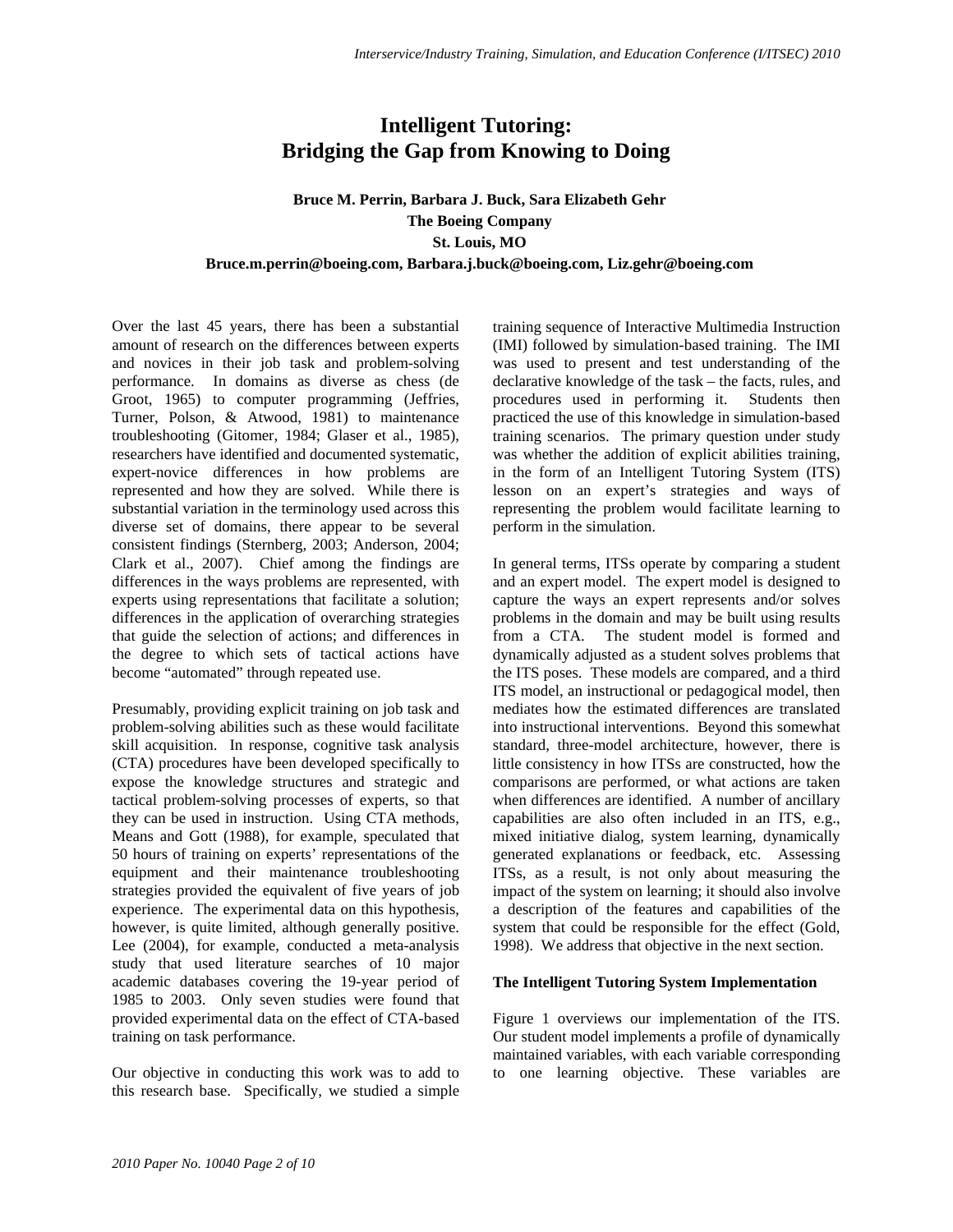# **Intelligent Tutoring: Bridging the Gap from Knowing to Doing**

# **Bruce M. Perrin, Barbara J. Buck, Sara Elizabeth Gehr The Boeing Company St. Louis, MO Bruce.m.perrin@boeing.com, Barbara.j.buck@boeing.com, Liz.gehr@boeing.com**

Over the last 45 years, there has been a substantial amount of research on the differences between experts and novices in their job task and problem-solving performance. In domains as diverse as chess (de Groot, 1965) to computer programming (Jeffries, Turner, Polson, & Atwood, 1981) to maintenance troubleshooting (Gitomer, 1984; Glaser et al., 1985), researchers have identified and documented systematic, expert-novice differences in how problems are represented and how they are solved. While there is substantial variation in the terminology used across this diverse set of domains, there appear to be several consistent findings (Sternberg, 2003; Anderson, 2004; Clark et al., 2007). Chief among the findings are differences in the ways problems are represented, with experts using representations that facilitate a solution; differences in the application of overarching strategies that guide the selection of actions; and differences in the degree to which sets of tactical actions have become "automated" through repeated use.

Presumably, providing explicit training on job task and problem-solving abilities such as these would facilitate skill acquisition. In response, cognitive task analysis (CTA) procedures have been developed specifically to expose the knowledge structures and strategic and tactical problem-solving processes of experts, so that they can be used in instruction. Using CTA methods, Means and Gott (1988), for example, speculated that 50 hours of training on experts' representations of the equipment and their maintenance troubleshooting strategies provided the equivalent of five years of job experience. The experimental data on this hypothesis, however, is quite limited, although generally positive. Lee (2004), for example, conducted a meta-analysis study that used literature searches of 10 major academic databases covering the 19-year period of 1985 to 2003. Only seven studies were found that provided experimental data on the effect of CTA-based training on task performance.

Our objective in conducting this work was to add to this research base. Specifically, we studied a simple training sequence of Interactive Multimedia Instruction (IMI) followed by simulation-based training. The IMI was used to present and test understanding of the declarative knowledge of the task – the facts, rules, and procedures used in performing it. Students then practiced the use of this knowledge in simulation-based training scenarios. The primary question under study was whether the addition of explicit abilities training, in the form of an Intelligent Tutoring System (ITS) lesson on an expert's strategies and ways of representing the problem would facilitate learning to perform in the simulation.

In general terms, ITSs operate by comparing a student and an expert model. The expert model is designed to capture the ways an expert represents and/or solves problems in the domain and may be built using results from a CTA. The student model is formed and dynamically adjusted as a student solves problems that the ITS poses. These models are compared, and a third ITS model, an instructional or pedagogical model, then mediates how the estimated differences are translated into instructional interventions. Beyond this somewhat standard, three-model architecture, however, there is little consistency in how ITSs are constructed, how the comparisons are performed, or what actions are taken when differences are identified. A number of ancillary capabilities are also often included in an ITS, e.g., mixed initiative dialog, system learning, dynamically generated explanations or feedback, etc. Assessing ITSs, as a result, is not only about measuring the impact of the system on learning; it should also involve a description of the features and capabilities of the system that could be responsible for the effect (Gold, 1998). We address that objective in the next section.

#### **The Intelligent Tutoring System Implementation**

Figure 1 overviews our implementation of the ITS. Our student model implements a profile of dynamically maintained variables, with each variable corresponding to one learning objective. These variables are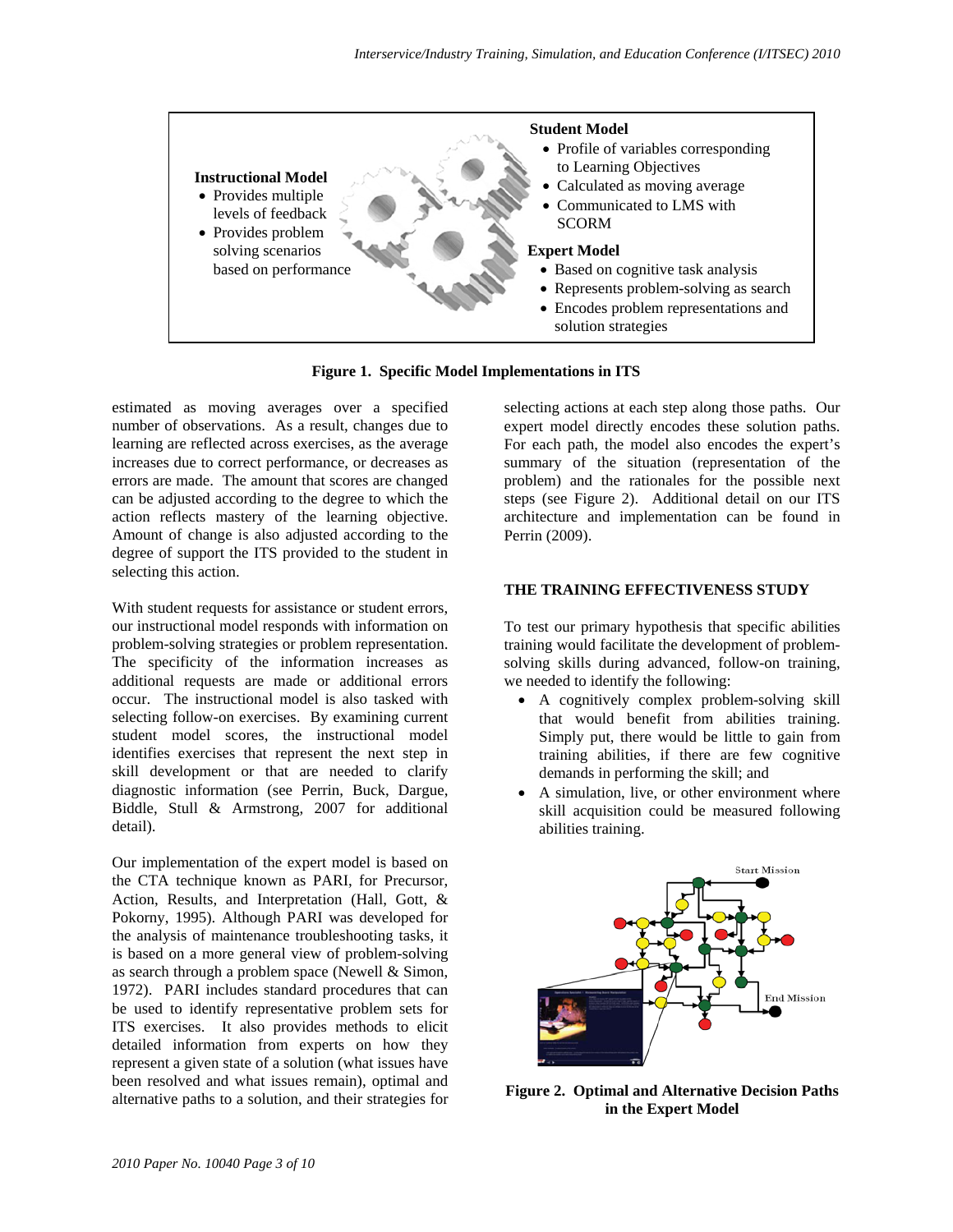

**Figure 1. Specific Model Implementations in ITS** 

estimated as moving averages over a specified number of observations. As a result, changes due to learning are reflected across exercises, as the average increases due to correct performance, or decreases as errors are made. The amount that scores are changed can be adjusted according to the degree to which the action reflects mastery of the learning objective. Amount of change is also adjusted according to the degree of support the ITS provided to the student in selecting this action.

With student requests for assistance or student errors, our instructional model responds with information on problem-solving strategies or problem representation. The specificity of the information increases as additional requests are made or additional errors occur. The instructional model is also tasked with selecting follow-on exercises. By examining current student model scores, the instructional model identifies exercises that represent the next step in skill development or that are needed to clarify diagnostic information (see Perrin, Buck, Dargue, Biddle, Stull & Armstrong, 2007 for additional detail).

Our implementation of the expert model is based on the CTA technique known as PARI, for Precursor, Action, Results, and Interpretation (Hall, Gott, & Pokorny, 1995). Although PARI was developed for the analysis of maintenance troubleshooting tasks, it is based on a more general view of problem-solving as search through a problem space (Newell & Simon, 1972). PARI includes standard procedures that can be used to identify representative problem sets for ITS exercises. It also provides methods to elicit detailed information from experts on how they represent a given state of a solution (what issues have been resolved and what issues remain), optimal and alternative paths to a solution, and their strategies for

selecting actions at each step along those paths. Our expert model directly encodes these solution paths. For each path, the model also encodes the expert's summary of the situation (representation of the problem) and the rationales for the possible next steps (see Figure 2). Additional detail on our ITS architecture and implementation can be found in Perrin (2009).

#### **THE TRAINING EFFECTIVENESS STUDY**

To test our primary hypothesis that specific abilities training would facilitate the development of problemsolving skills during advanced, follow-on training, we needed to identify the following:

- A cognitively complex problem-solving skill that would benefit from abilities training. Simply put, there would be little to gain from training abilities, if there are few cognitive demands in performing the skill; and
- A simulation, live, or other environment where skill acquisition could be measured following abilities training.



**Figure 2. Optimal and Alternative Decision Paths in the Expert Model**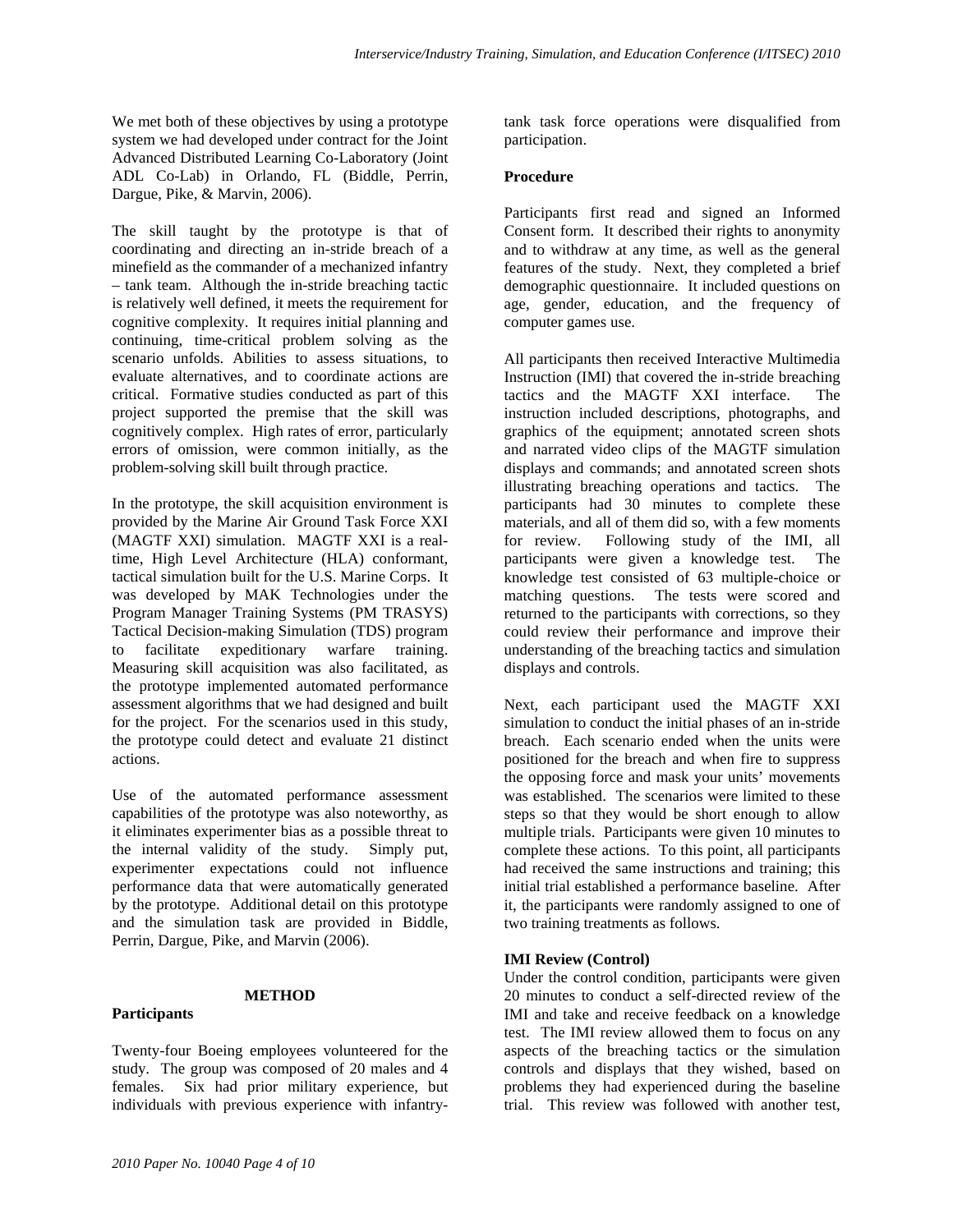We met both of these objectives by using a prototype system we had developed under contract for the Joint Advanced Distributed Learning Co-Laboratory (Joint ADL Co-Lab) in Orlando, FL (Biddle, Perrin, Dargue, Pike, & Marvin, 2006).

The skill taught by the prototype is that of coordinating and directing an in-stride breach of a minefield as the commander of a mechanized infantry – tank team. Although the in-stride breaching tactic is relatively well defined, it meets the requirement for cognitive complexity. It requires initial planning and continuing, time-critical problem solving as the scenario unfolds. Abilities to assess situations, to evaluate alternatives, and to coordinate actions are critical. Formative studies conducted as part of this project supported the premise that the skill was cognitively complex. High rates of error, particularly errors of omission, were common initially, as the problem-solving skill built through practice.

In the prototype, the skill acquisition environment is provided by the Marine Air Ground Task Force XXI (MAGTF XXI) simulation. MAGTF XXI is a realtime, High Level Architecture (HLA) conformant, tactical simulation built for the U.S. Marine Corps. It was developed by MAK Technologies under the Program Manager Training Systems (PM TRASYS) Tactical Decision-making Simulation (TDS) program to facilitate expeditionary warfare training. Measuring skill acquisition was also facilitated, as the prototype implemented automated performance assessment algorithms that we had designed and built for the project. For the scenarios used in this study, the prototype could detect and evaluate 21 distinct actions.

Use of the automated performance assessment capabilities of the prototype was also noteworthy, as it eliminates experimenter bias as a possible threat to the internal validity of the study. Simply put, experimenter expectations could not influence performance data that were automatically generated by the prototype. Additional detail on this prototype and the simulation task are provided in Biddle, Perrin, Dargue, Pike, and Marvin (2006).

## **METHOD**

## **Participants**

Twenty-four Boeing employees volunteered for the study. The group was composed of 20 males and 4 females. Six had prior military experience, but individuals with previous experience with infantrytank task force operations were disqualified from participation.

#### **Procedure**

Participants first read and signed an Informed Consent form. It described their rights to anonymity and to withdraw at any time, as well as the general features of the study. Next, they completed a brief demographic questionnaire. It included questions on age, gender, education, and the frequency of computer games use.

All participants then received Interactive Multimedia Instruction (IMI) that covered the in-stride breaching tactics and the MAGTF XXI interface. The instruction included descriptions, photographs, and graphics of the equipment; annotated screen shots and narrated video clips of the MAGTF simulation displays and commands; and annotated screen shots illustrating breaching operations and tactics. The participants had 30 minutes to complete these materials, and all of them did so, with a few moments for review. Following study of the IMI, all participants were given a knowledge test. The knowledge test consisted of 63 multiple-choice or matching questions. The tests were scored and returned to the participants with corrections, so they could review their performance and improve their understanding of the breaching tactics and simulation displays and controls.

Next, each participant used the MAGTF XXI simulation to conduct the initial phases of an in-stride breach. Each scenario ended when the units were positioned for the breach and when fire to suppress the opposing force and mask your units' movements was established. The scenarios were limited to these steps so that they would be short enough to allow multiple trials. Participants were given 10 minutes to complete these actions. To this point, all participants had received the same instructions and training; this initial trial established a performance baseline. After it, the participants were randomly assigned to one of two training treatments as follows.

## **IMI Review (Control)**

Under the control condition, participants were given 20 minutes to conduct a self-directed review of the IMI and take and receive feedback on a knowledge test. The IMI review allowed them to focus on any aspects of the breaching tactics or the simulation controls and displays that they wished, based on problems they had experienced during the baseline trial. This review was followed with another test,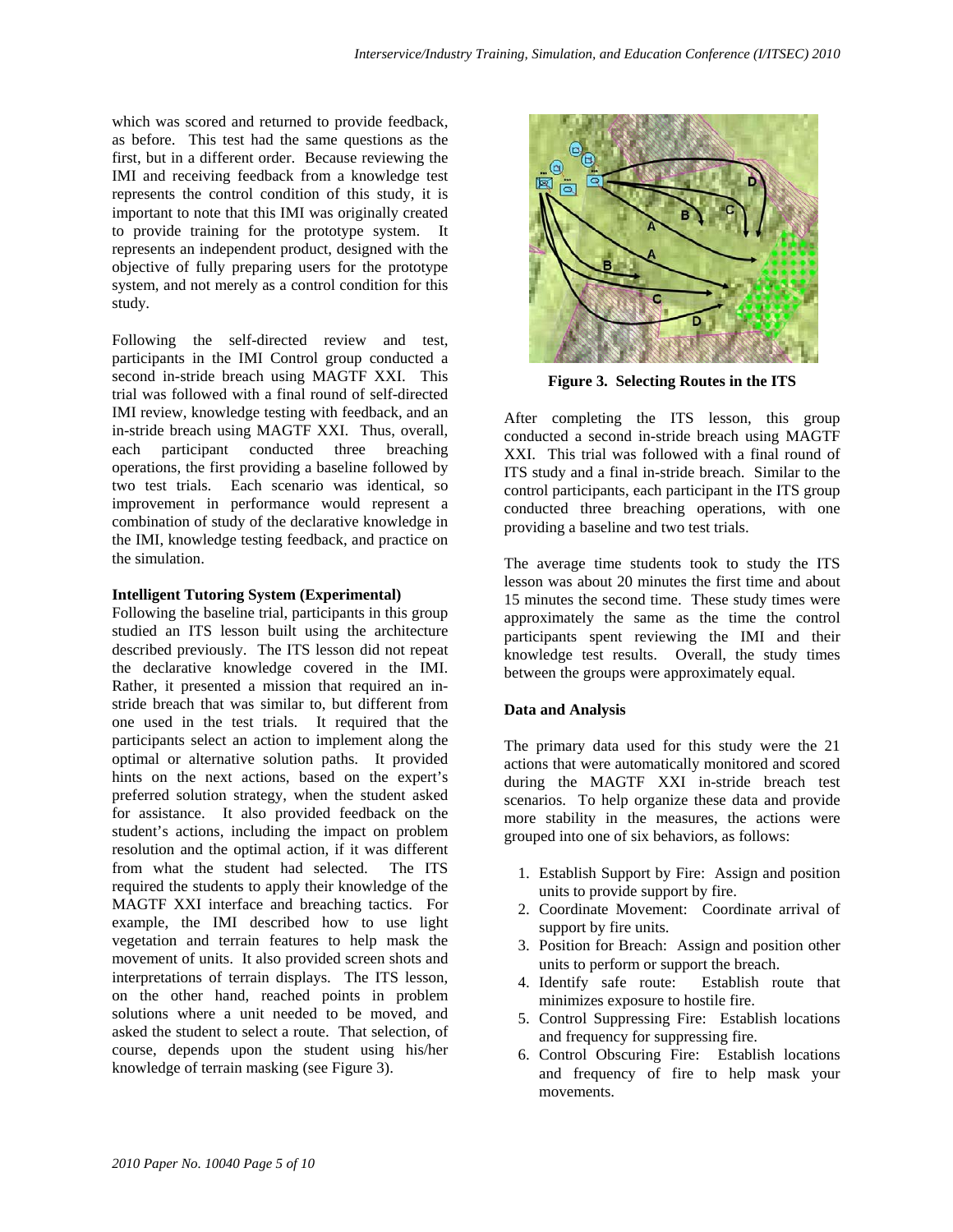which was scored and returned to provide feedback, as before. This test had the same questions as the first, but in a different order. Because reviewing the IMI and receiving feedback from a knowledge test represents the control condition of this study, it is important to note that this IMI was originally created to provide training for the prototype system. It represents an independent product, designed with the objective of fully preparing users for the prototype system, and not merely as a control condition for this study.

Following the self-directed review and test, participants in the IMI Control group conducted a second in-stride breach using MAGTF XXI. This trial was followed with a final round of self-directed IMI review, knowledge testing with feedback, and an in-stride breach using MAGTF XXI. Thus, overall, each participant conducted three breaching operations, the first providing a baseline followed by two test trials. Each scenario was identical, so improvement in performance would represent a combination of study of the declarative knowledge in the IMI, knowledge testing feedback, and practice on the simulation.

## **Intelligent Tutoring System (Experimental)**

Following the baseline trial, participants in this group studied an ITS lesson built using the architecture described previously. The ITS lesson did not repeat the declarative knowledge covered in the IMI. Rather, it presented a mission that required an instride breach that was similar to, but different from one used in the test trials. It required that the participants select an action to implement along the optimal or alternative solution paths. It provided hints on the next actions, based on the expert's preferred solution strategy, when the student asked for assistance. It also provided feedback on the student's actions, including the impact on problem resolution and the optimal action, if it was different from what the student had selected. The ITS required the students to apply their knowledge of the MAGTF XXI interface and breaching tactics. For example, the IMI described how to use light vegetation and terrain features to help mask the movement of units. It also provided screen shots and interpretations of terrain displays. The ITS lesson, on the other hand, reached points in problem solutions where a unit needed to be moved, and asked the student to select a route. That selection, of course, depends upon the student using his/her knowledge of terrain masking (see Figure 3).



**Figure 3. Selecting Routes in the ITS** 

After completing the ITS lesson, this group conducted a second in-stride breach using MAGTF XXI. This trial was followed with a final round of ITS study and a final in-stride breach. Similar to the control participants, each participant in the ITS group conducted three breaching operations, with one providing a baseline and two test trials.

The average time students took to study the ITS lesson was about 20 minutes the first time and about 15 minutes the second time. These study times were approximately the same as the time the control participants spent reviewing the IMI and their knowledge test results. Overall, the study times between the groups were approximately equal.

## **Data and Analysis**

The primary data used for this study were the 21 actions that were automatically monitored and scored during the MAGTF XXI in-stride breach test scenarios. To help organize these data and provide more stability in the measures, the actions were grouped into one of six behaviors, as follows:

- 1. Establish Support by Fire: Assign and position units to provide support by fire.
- 2. Coordinate Movement: Coordinate arrival of support by fire units.
- 3. Position for Breach: Assign and position other units to perform or support the breach.
- 4. Identify safe route: Establish route that minimizes exposure to hostile fire.
- 5. Control Suppressing Fire: Establish locations and frequency for suppressing fire.
- 6. Control Obscuring Fire: Establish locations and frequency of fire to help mask your movements.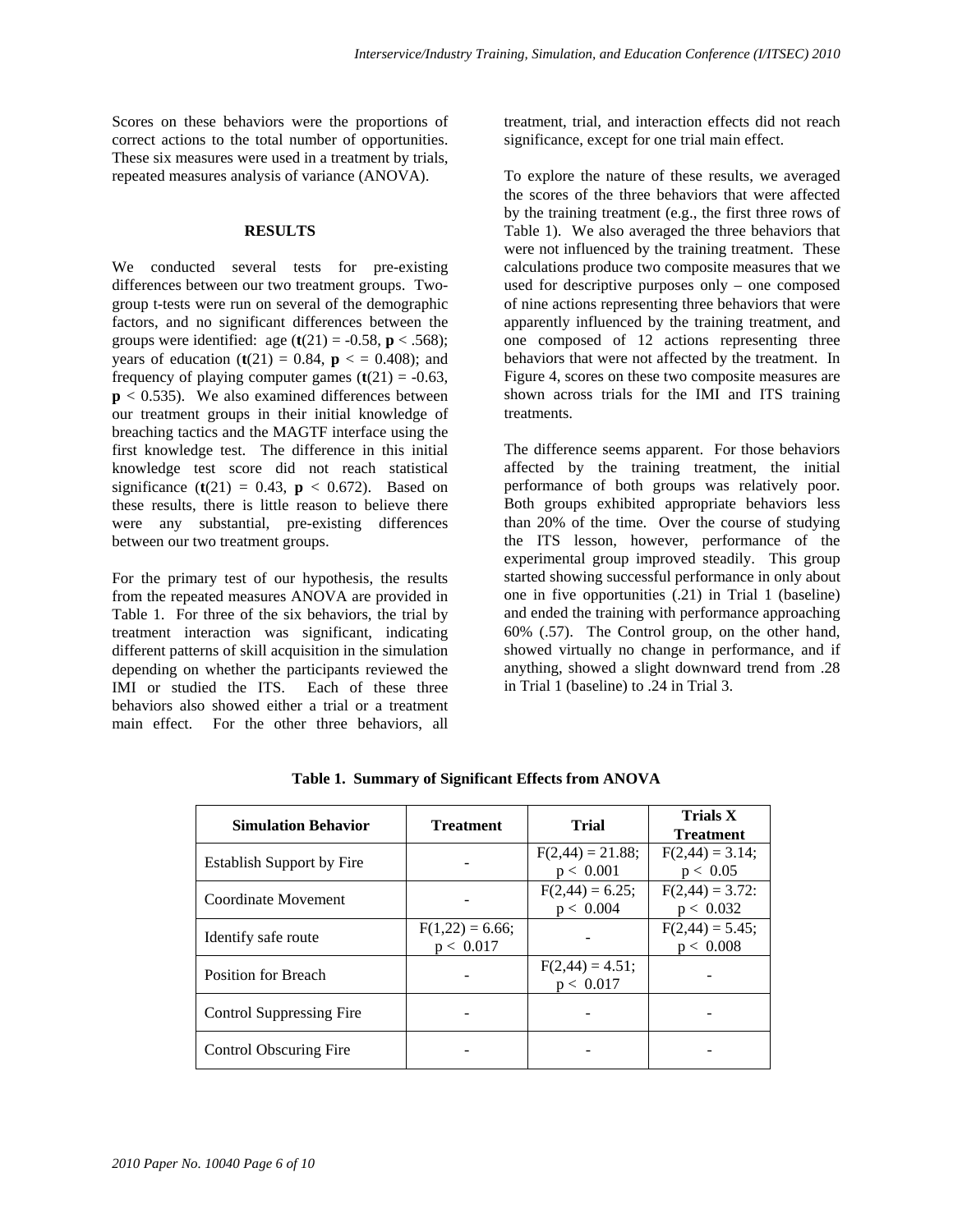Scores on these behaviors were the proportions of correct actions to the total number of opportunities. These six measures were used in a treatment by trials, repeated measures analysis of variance (ANOVA).

#### **RESULTS**

We conducted several tests for pre-existing differences between our two treatment groups. Twogroup t-tests were run on several of the demographic factors, and no significant differences between the groups were identified: age  $(t(21) = -0.58, p < .568)$ ; years of education  $(t(21) = 0.84, p \le 0.408)$ ; and frequency of playing computer games  $(t(21) = -0.63$ ,  $p < 0.535$ ). We also examined differences between our treatment groups in their initial knowledge of breaching tactics and the MAGTF interface using the first knowledge test. The difference in this initial knowledge test score did not reach statistical significance (**t**(21) = 0.43, **p** < 0.672). Based on these results, there is little reason to believe there were any substantial, pre-existing differences between our two treatment groups.

For the primary test of our hypothesis, the results from the repeated measures ANOVA are provided in Table 1. For three of the six behaviors, the trial by treatment interaction was significant, indicating different patterns of skill acquisition in the simulation depending on whether the participants reviewed the IMI or studied the ITS. Each of these three behaviors also showed either a trial or a treatment main effect. For the other three behaviors, all

treatment, trial, and interaction effects did not reach significance, except for one trial main effect.

To explore the nature of these results, we averaged the scores of the three behaviors that were affected by the training treatment (e.g., the first three rows of Table 1). We also averaged the three behaviors that were not influenced by the training treatment. These calculations produce two composite measures that we used for descriptive purposes only – one composed of nine actions representing three behaviors that were apparently influenced by the training treatment, and one composed of 12 actions representing three behaviors that were not affected by the treatment. In Figure 4, scores on these two composite measures are shown across trials for the IMI and ITS training treatments.

The difference seems apparent. For those behaviors affected by the training treatment, the initial performance of both groups was relatively poor. Both groups exhibited appropriate behaviors less than 20% of the time. Over the course of studying the ITS lesson, however, performance of the experimental group improved steadily. This group started showing successful performance in only about one in five opportunities (.21) in Trial 1 (baseline) and ended the training with performance approaching 60% (.57). The Control group, on the other hand, showed virtually no change in performance, and if anything, showed a slight downward trend from .28 in Trial 1 (baseline) to .24 in Trial 3.

| <b>Simulation Behavior</b>       | <b>Treatment</b>               | Trial                           | <b>Trials X</b><br><b>Treatment</b> |
|----------------------------------|--------------------------------|---------------------------------|-------------------------------------|
| <b>Establish Support by Fire</b> |                                | $F(2,44) = 21.88;$<br>p < 0.001 | $F(2,44) = 3.14;$<br>p < 0.05       |
| Coordinate Movement              |                                | $F(2,44) = 6.25;$<br>p < 0.004  | $F(2,44) = 3.72$ :<br>p < 0.032     |
| Identify safe route              | $F(1,22) = 6.66;$<br>p < 0.017 |                                 | $F(2,44) = 5.45;$<br>p < 0.008      |
| Position for Breach              |                                | $F(2,44) = 4.51;$<br>p < 0.017  |                                     |
| Control Suppressing Fire         |                                |                                 |                                     |
| Control Obscuring Fire           |                                |                                 |                                     |

**Table 1. Summary of Significant Effects from ANOVA**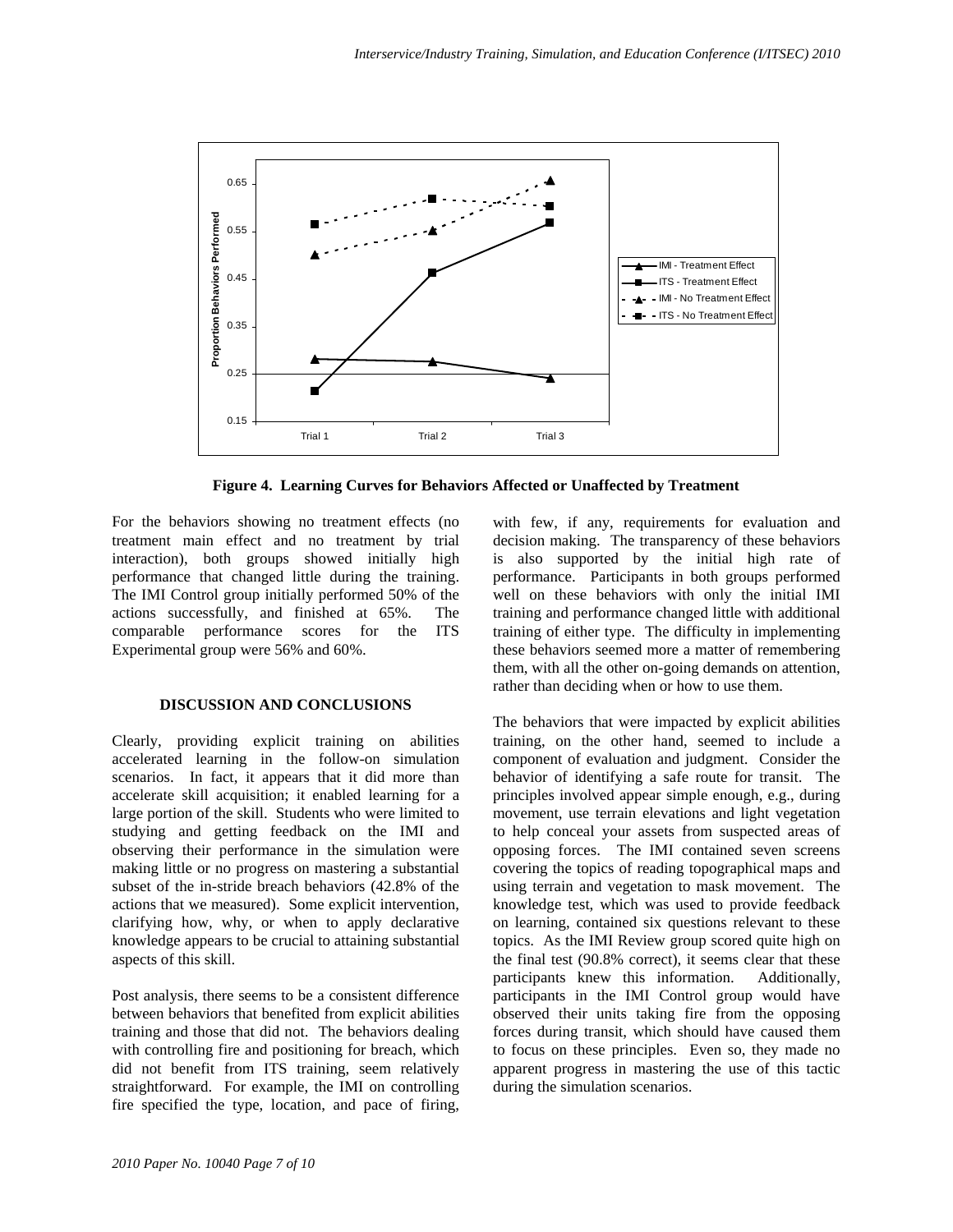

**Figure 4. Learning Curves for Behaviors Affected or Unaffected by Treatment** 

For the behaviors showing no treatment effects (no treatment main effect and no treatment by trial interaction), both groups showed initially high performance that changed little during the training. The IMI Control group initially performed 50% of the actions successfully, and finished at 65%. The comparable performance scores for the ITS Experimental group were 56% and 60%.

#### **DISCUSSION AND CONCLUSIONS**

Clearly, providing explicit training on abilities accelerated learning in the follow-on simulation scenarios. In fact, it appears that it did more than accelerate skill acquisition; it enabled learning for a large portion of the skill. Students who were limited to studying and getting feedback on the IMI and observing their performance in the simulation were making little or no progress on mastering a substantial subset of the in-stride breach behaviors (42.8% of the actions that we measured). Some explicit intervention, clarifying how, why, or when to apply declarative knowledge appears to be crucial to attaining substantial aspects of this skill.

Post analysis, there seems to be a consistent difference between behaviors that benefited from explicit abilities training and those that did not. The behaviors dealing with controlling fire and positioning for breach, which did not benefit from ITS training, seem relatively straightforward. For example, the IMI on controlling fire specified the type, location, and pace of firing, with few, if any, requirements for evaluation and decision making. The transparency of these behaviors is also supported by the initial high rate of performance. Participants in both groups performed well on these behaviors with only the initial IMI training and performance changed little with additional training of either type. The difficulty in implementing these behaviors seemed more a matter of remembering them, with all the other on-going demands on attention, rather than deciding when or how to use them.

The behaviors that were impacted by explicit abilities training, on the other hand, seemed to include a component of evaluation and judgment. Consider the behavior of identifying a safe route for transit. The principles involved appear simple enough, e.g., during movement, use terrain elevations and light vegetation to help conceal your assets from suspected areas of opposing forces. The IMI contained seven screens covering the topics of reading topographical maps and using terrain and vegetation to mask movement. The knowledge test, which was used to provide feedback on learning, contained six questions relevant to these topics. As the IMI Review group scored quite high on the final test (90.8% correct), it seems clear that these participants knew this information. Additionally, participants in the IMI Control group would have observed their units taking fire from the opposing forces during transit, which should have caused them to focus on these principles. Even so, they made no apparent progress in mastering the use of this tactic during the simulation scenarios.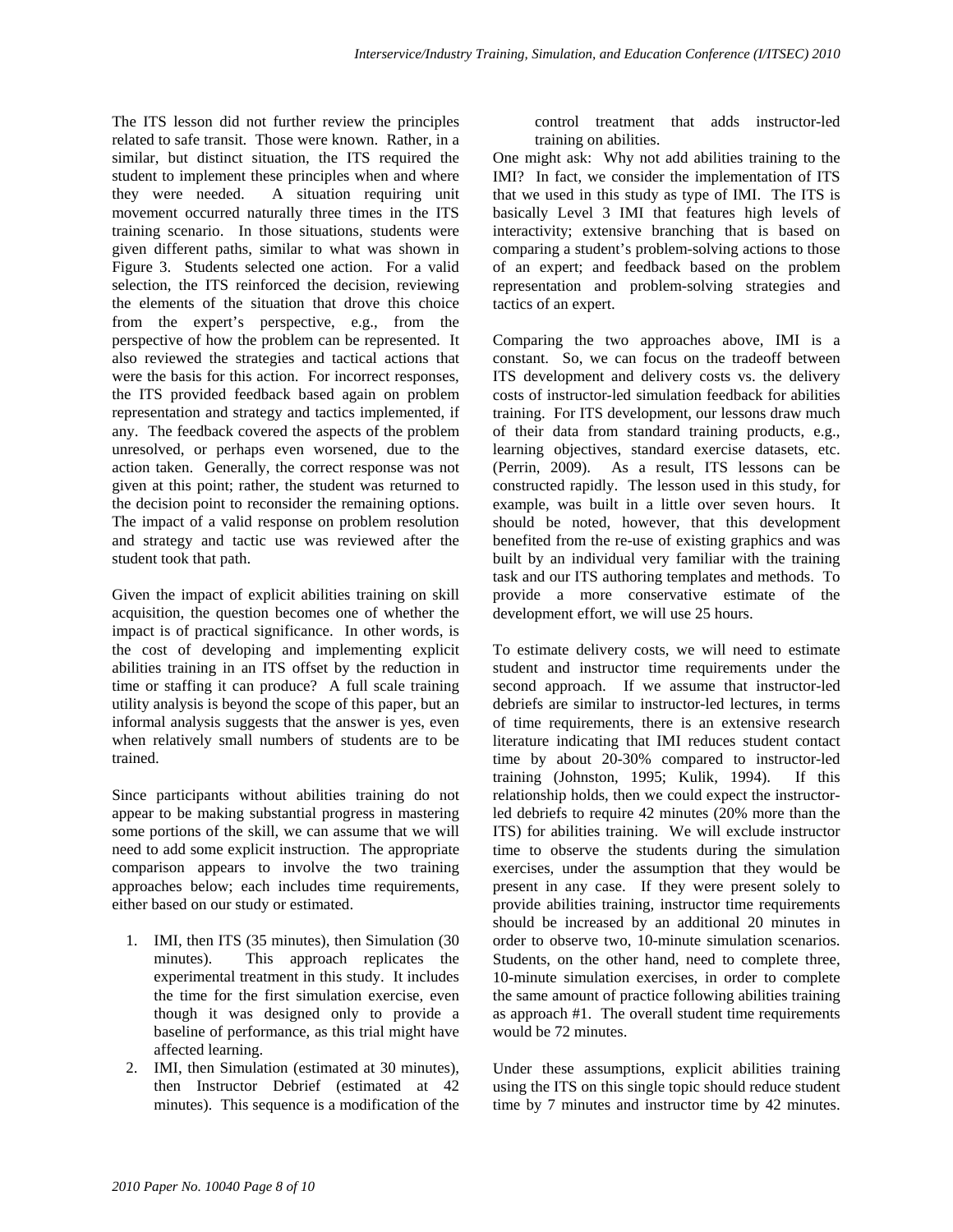The ITS lesson did not further review the principles related to safe transit. Those were known. Rather, in a similar, but distinct situation, the ITS required the student to implement these principles when and where they were needed. A situation requiring unit movement occurred naturally three times in the ITS training scenario. In those situations, students were given different paths, similar to what was shown in Figure 3. Students selected one action. For a valid selection, the ITS reinforced the decision, reviewing the elements of the situation that drove this choice from the expert's perspective, e.g., from the perspective of how the problem can be represented. It also reviewed the strategies and tactical actions that were the basis for this action. For incorrect responses, the ITS provided feedback based again on problem representation and strategy and tactics implemented, if any. The feedback covered the aspects of the problem unresolved, or perhaps even worsened, due to the action taken. Generally, the correct response was not given at this point; rather, the student was returned to the decision point to reconsider the remaining options. The impact of a valid response on problem resolution and strategy and tactic use was reviewed after the student took that path.

Given the impact of explicit abilities training on skill acquisition, the question becomes one of whether the impact is of practical significance. In other words, is the cost of developing and implementing explicit abilities training in an ITS offset by the reduction in time or staffing it can produce? A full scale training utility analysis is beyond the scope of this paper, but an informal analysis suggests that the answer is yes, even when relatively small numbers of students are to be trained.

Since participants without abilities training do not appear to be making substantial progress in mastering some portions of the skill, we can assume that we will need to add some explicit instruction. The appropriate comparison appears to involve the two training approaches below; each includes time requirements, either based on our study or estimated.

- 1. IMI, then ITS (35 minutes), then Simulation (30 minutes). This approach replicates the experimental treatment in this study. It includes the time for the first simulation exercise, even though it was designed only to provide a baseline of performance, as this trial might have affected learning.
- 2. IMI, then Simulation (estimated at 30 minutes), then Instructor Debrief (estimated at 42 minutes). This sequence is a modification of the

control treatment that adds instructor-led training on abilities.

One might ask: Why not add abilities training to the IMI? In fact, we consider the implementation of ITS that we used in this study as type of IMI. The ITS is basically Level 3 IMI that features high levels of interactivity; extensive branching that is based on comparing a student's problem-solving actions to those of an expert; and feedback based on the problem representation and problem-solving strategies and tactics of an expert.

Comparing the two approaches above, IMI is a constant. So, we can focus on the tradeoff between ITS development and delivery costs vs. the delivery costs of instructor-led simulation feedback for abilities training. For ITS development, our lessons draw much of their data from standard training products, e.g., learning objectives, standard exercise datasets, etc. (Perrin, 2009). As a result, ITS lessons can be constructed rapidly. The lesson used in this study, for example, was built in a little over seven hours. It should be noted, however, that this development benefited from the re-use of existing graphics and was built by an individual very familiar with the training task and our ITS authoring templates and methods. To provide a more conservative estimate of the development effort, we will use 25 hours.

To estimate delivery costs, we will need to estimate student and instructor time requirements under the second approach. If we assume that instructor-led debriefs are similar to instructor-led lectures, in terms of time requirements, there is an extensive research literature indicating that IMI reduces student contact time by about 20-30% compared to instructor-led training (Johnston, 1995; Kulik, 1994). If this relationship holds, then we could expect the instructorled debriefs to require 42 minutes (20% more than the ITS) for abilities training. We will exclude instructor time to observe the students during the simulation exercises, under the assumption that they would be present in any case. If they were present solely to provide abilities training, instructor time requirements should be increased by an additional 20 minutes in order to observe two, 10-minute simulation scenarios. Students, on the other hand, need to complete three, 10-minute simulation exercises, in order to complete the same amount of practice following abilities training as approach #1. The overall student time requirements would be 72 minutes.

Under these assumptions, explicit abilities training using the ITS on this single topic should reduce student time by 7 minutes and instructor time by 42 minutes.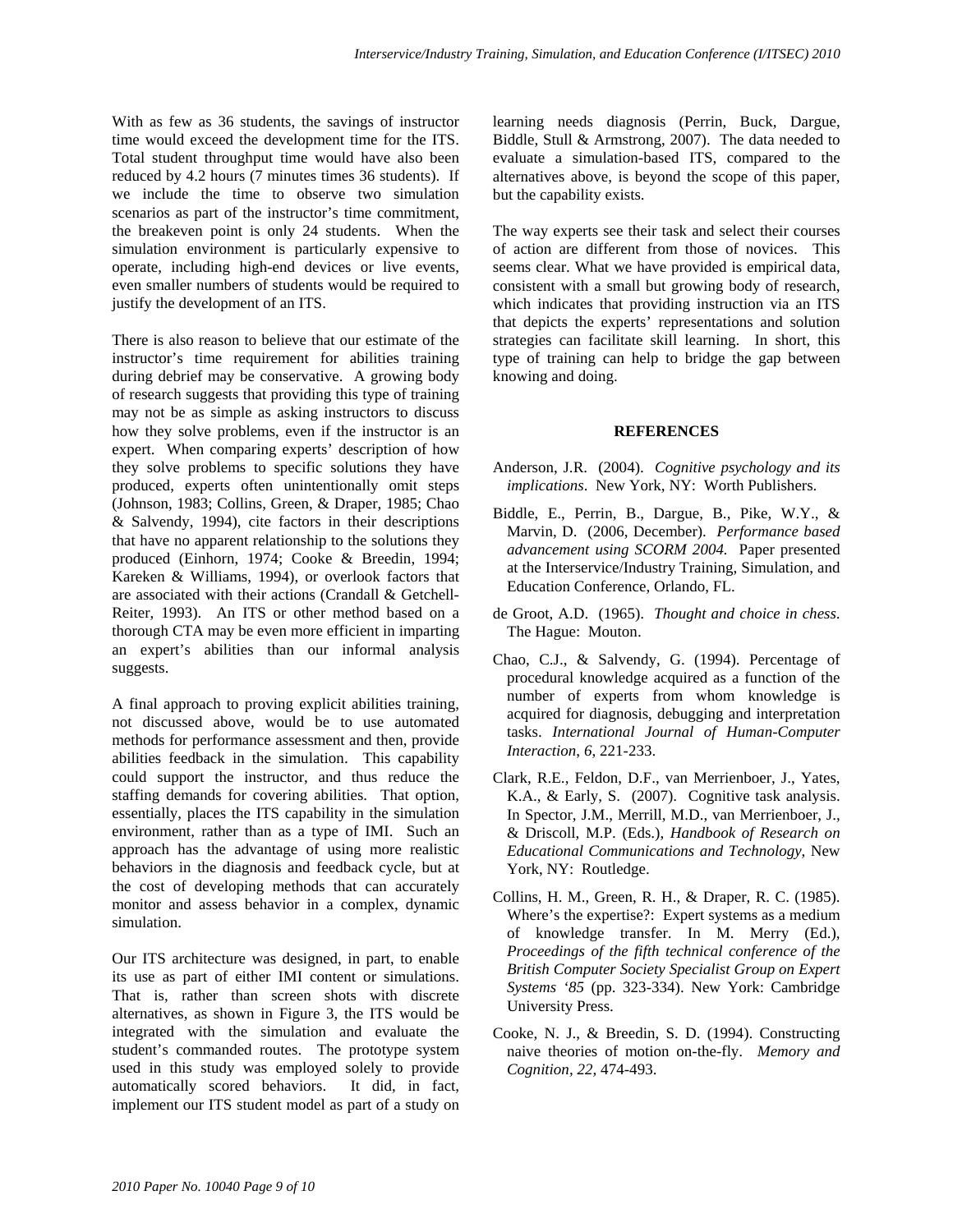With as few as 36 students, the savings of instructor time would exceed the development time for the ITS. Total student throughput time would have also been reduced by 4.2 hours (7 minutes times 36 students). If we include the time to observe two simulation scenarios as part of the instructor's time commitment, the breakeven point is only 24 students. When the simulation environment is particularly expensive to operate, including high-end devices or live events, even smaller numbers of students would be required to justify the development of an ITS.

There is also reason to believe that our estimate of the instructor's time requirement for abilities training during debrief may be conservative. A growing body of research suggests that providing this type of training may not be as simple as asking instructors to discuss how they solve problems, even if the instructor is an expert. When comparing experts' description of how they solve problems to specific solutions they have produced, experts often unintentionally omit steps (Johnson, 1983; Collins, Green, & Draper, 1985; Chao & Salvendy, 1994), cite factors in their descriptions that have no apparent relationship to the solutions they produced (Einhorn, 1974; Cooke & Breedin, 1994; Kareken & Williams, 1994), or overlook factors that are associated with their actions (Crandall & Getchell-Reiter, 1993). An ITS or other method based on a thorough CTA may be even more efficient in imparting an expert's abilities than our informal analysis suggests.

A final approach to proving explicit abilities training, not discussed above, would be to use automated methods for performance assessment and then, provide abilities feedback in the simulation. This capability could support the instructor, and thus reduce the staffing demands for covering abilities. That option, essentially, places the ITS capability in the simulation environment, rather than as a type of IMI. Such an approach has the advantage of using more realistic behaviors in the diagnosis and feedback cycle, but at the cost of developing methods that can accurately monitor and assess behavior in a complex, dynamic simulation.

Our ITS architecture was designed, in part, to enable its use as part of either IMI content or simulations. That is, rather than screen shots with discrete alternatives, as shown in Figure 3, the ITS would be integrated with the simulation and evaluate the student's commanded routes. The prototype system used in this study was employed solely to provide automatically scored behaviors. It did, in fact, implement our ITS student model as part of a study on learning needs diagnosis (Perrin, Buck, Dargue, Biddle, Stull & Armstrong, 2007). The data needed to evaluate a simulation-based ITS, compared to the alternatives above, is beyond the scope of this paper, but the capability exists.

The way experts see their task and select their courses of action are different from those of novices. This seems clear. What we have provided is empirical data, consistent with a small but growing body of research, which indicates that providing instruction via an ITS that depicts the experts' representations and solution strategies can facilitate skill learning. In short, this type of training can help to bridge the gap between knowing and doing.

#### **REFERENCES**

- Anderson, J.R. (2004). *Cognitive psychology and its implications*. New York, NY: Worth Publishers.
- Biddle, E., Perrin, B., Dargue, B., Pike, W.Y., & Marvin, D. (2006, December). *Performance based advancement using SCORM 2004.* Paper presented at the Interservice/Industry Training, Simulation, and Education Conference, Orlando, FL.
- de Groot, A.D. (1965). *Thought and choice in chess*. The Hague: Mouton.
- Chao, C.J., & Salvendy, G. (1994). Percentage of procedural knowledge acquired as a function of the number of experts from whom knowledge is acquired for diagnosis, debugging and interpretation tasks. *International Journal of Human-Computer Interaction*, *6*, 221-233.
- Clark, R.E., Feldon, D.F., van Merrienboer, J., Yates, K.A., & Early, S. (2007). Cognitive task analysis. In Spector, J.M., Merrill, M.D., van Merrienboer, J., & Driscoll, M.P. (Eds.), *Handbook of Research on Educational Communications and Technology*, New York, NY: Routledge.
- Collins, H. M., Green, R. H., & Draper, R. C. (1985). Where's the expertise?: Expert systems as a medium of knowledge transfer. In M. Merry (Ed.), *Proceedings of the fifth technical conference of the British Computer Society Specialist Group on Expert Systems '85* (pp. 323-334). New York: Cambridge University Press.
- Cooke, N. J., & Breedin, S. D. (1994). Constructing naive theories of motion on-the-fly. *Memory and Cognition, 22,* 474-493.